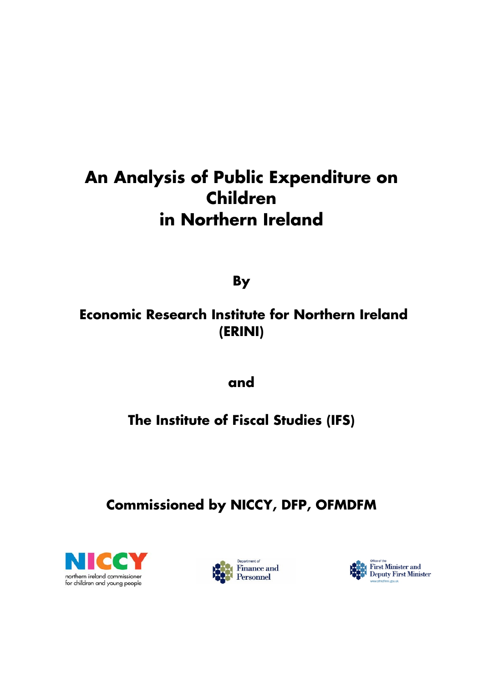# **An Analysis of Public Expenditure on Children in Northern Ireland**

**By** 

# **Economic Research Institute for Northern Ireland (ERINI)**

**and** 

# **The Institute of Fiscal Studies (IFS)**

# **Commissioned by NICCY, DFP, OFMDFM**





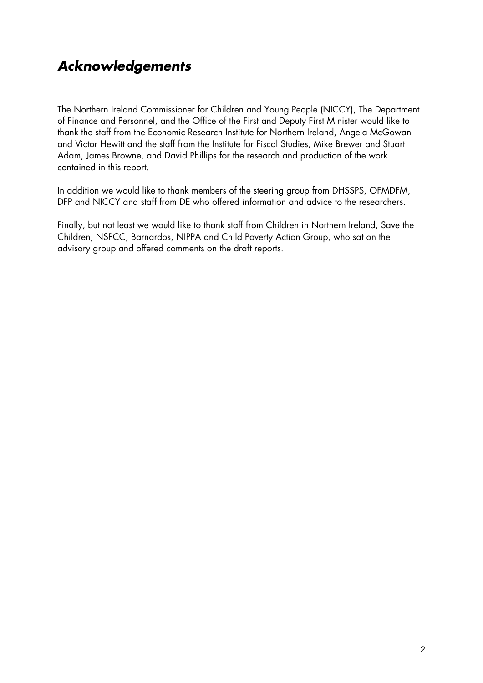# *Acknowledgements*

The Northern Ireland Commissioner for Children and Young People (NICCY), The Department of Finance and Personnel, and the Office of the First and Deputy First Minister would like to thank the staff from the Economic Research Institute for Northern Ireland, Angela McGowan and Victor Hewitt and the staff from the Institute for Fiscal Studies, Mike Brewer and Stuart Adam, James Browne, and David Phillips for the research and production of the work contained in this report.

In addition we would like to thank members of the steering group from DHSSPS, OFMDFM, DFP and NICCY and staff from DE who offered information and advice to the researchers.

Finally, but not least we would like to thank staff from Children in Northern Ireland, Save the Children, NSPCC, Barnardos, NIPPA and Child Poverty Action Group, who sat on the advisory group and offered comments on the draft reports.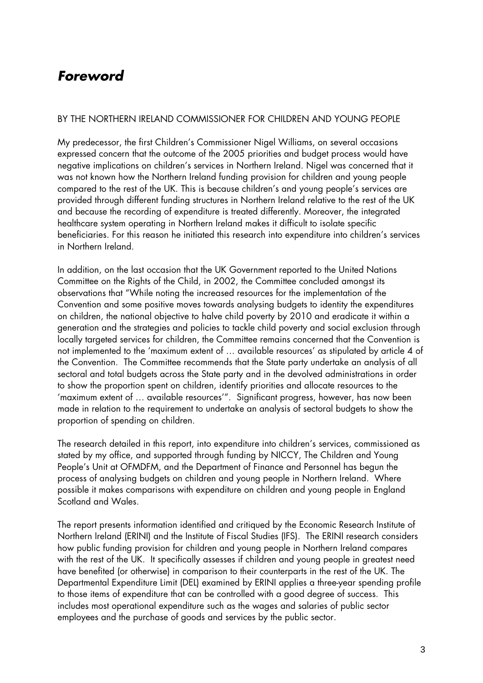## *Foreword*

#### BY THE NORTHERN IRELAND COMMISSIONER FOR CHILDREN AND YOUNG PEOPLE

My predecessor, the first Children's Commissioner Nigel Williams, on several occasions expressed concern that the outcome of the 2005 priorities and budget process would have negative implications on children's services in Northern Ireland. Nigel was concerned that it was not known how the Northern Ireland funding provision for children and young people compared to the rest of the UK. This is because children's and young people's services are provided through different funding structures in Northern Ireland relative to the rest of the UK and because the recording of expenditure is treated differently. Moreover, the integrated healthcare system operating in Northern Ireland makes it difficult to isolate specific beneficiaries. For this reason he initiated this research into expenditure into children's services in Northern Ireland.

In addition, on the last occasion that the UK Government reported to the United Nations Committee on the Rights of the Child, in 2002, the Committee concluded amongst its observations that "While noting the increased resources for the implementation of the Convention and some positive moves towards analysing budgets to identity the expenditures on children, the national objective to halve child poverty by 2010 and eradicate it within a generation and the strategies and policies to tackle child poverty and social exclusion through locally targeted services for children, the Committee remains concerned that the Convention is not implemented to the 'maximum extent of … available resources' as stipulated by article 4 of the Convention. The Committee recommends that the State party undertake an analysis of all sectoral and total budgets across the State party and in the devolved administrations in order to show the proportion spent on children, identify priorities and allocate resources to the 'maximum extent of … available resources'". Significant progress, however, has now been made in relation to the requirement to undertake an analysis of sectoral budgets to show the proportion of spending on children.

The research detailed in this report, into expenditure into children's services, commissioned as stated by my office, and supported through funding by NICCY, The Children and Young People's Unit at OFMDFM, and the Department of Finance and Personnel has begun the process of analysing budgets on children and young people in Northern Ireland. Where possible it makes comparisons with expenditure on children and young people in England Scotland and Wales.

The report presents information identified and critiqued by the Economic Research Institute of Northern Ireland (ERINI) and the Institute of Fiscal Studies (IFS). The ERINI research considers how public funding provision for children and young people in Northern Ireland compares with the rest of the UK. It specifically assesses if children and young people in greatest need have benefited (or otherwise) in comparison to their counterparts in the rest of the UK. The Departmental Expenditure Limit (DEL) examined by ERINI applies a three-year spending profile to those items of expenditure that can be controlled with a good degree of success. This includes most operational expenditure such as the wages and salaries of public sector employees and the purchase of goods and services by the public sector.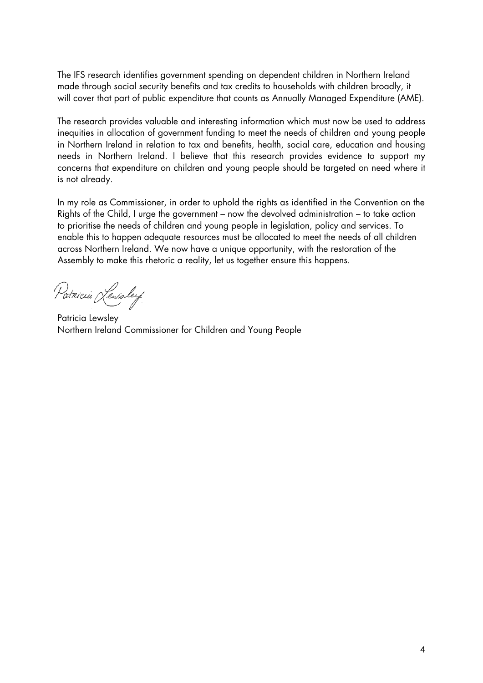The IFS research identifies government spending on dependent children in Northern Ireland made through social security benefits and tax credits to households with children broadly, it will cover that part of public expenditure that counts as Annually Managed Expenditure (AME).

The research provides valuable and interesting information which must now be used to address inequities in allocation of government funding to meet the needs of children and young people in Northern Ireland in relation to tax and benefits, health, social care, education and housing needs in Northern Ireland. I believe that this research provides evidence to support my concerns that expenditure on children and young people should be targeted on need where it is not already.

In my role as Commissioner, in order to uphold the rights as identified in the Convention on the Rights of the Child, I urge the government – now the devolved administration – to take action to prioritise the needs of children and young people in legislation, policy and services. To enable this to happen adequate resources must be allocated to meet the needs of all children across Northern Ireland. We now have a unique opportunity, with the restoration of the Assembly to make this rhetoric a reality, let us together ensure this happens.

Patricia Leursley

Patricia Lewsley Northern Ireland Commissioner for Children and Young People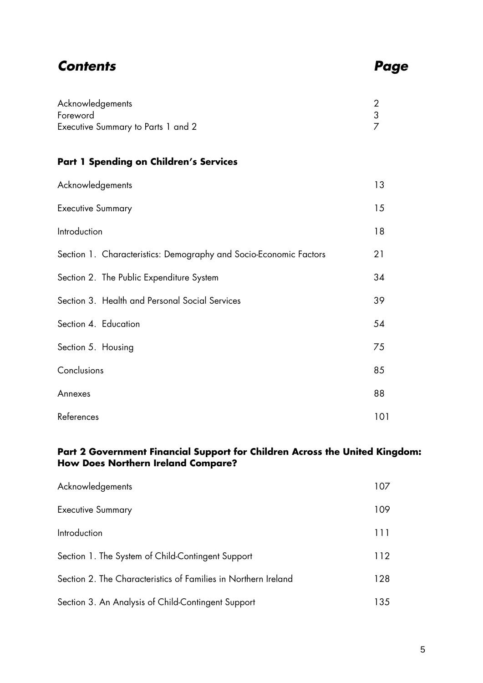### *Contents Page*

| Acknowledgements                   |  |  |
|------------------------------------|--|--|
| Foreword                           |  |  |
| Executive Summary to Parts 1 and 2 |  |  |

### **Part 1 Spending on Children's Services**

| Acknowledgements                                                  | 13  |
|-------------------------------------------------------------------|-----|
| <b>Executive Summary</b>                                          | 15  |
| Introduction                                                      | 18  |
| Section 1. Characteristics: Demography and Socio-Economic Factors | 21  |
| Section 2. The Public Expenditure System                          | 34  |
| Section 3. Health and Personal Social Services                    | 39  |
| Section 4. Education                                              | 54  |
| Section 5. Housing                                                | 75  |
| Conclusions                                                       | 85  |
| Annexes                                                           | 88  |
| References                                                        | 101 |

#### **Part 2 Government Financial Support for Children Across the United Kingdom: How Does Northern Ireland Compare?**

| Acknowledgements                                               | 107  |
|----------------------------------------------------------------|------|
| <b>Executive Summary</b>                                       | 109  |
| Introduction                                                   | 111  |
| Section 1. The System of Child-Contingent Support              | 112  |
| Section 2. The Characteristics of Families in Northern Ireland | 128  |
| Section 3. An Analysis of Child-Contingent Support             | 135. |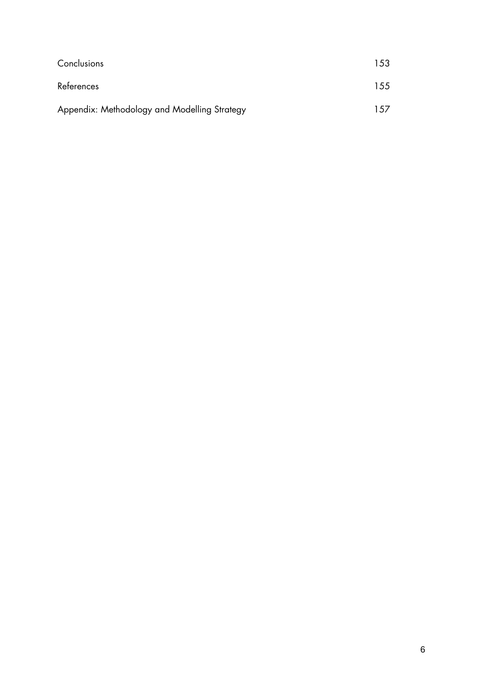| Conclusions                                  | 153 |
|----------------------------------------------|-----|
| References                                   | 155 |
| Appendix: Methodology and Modelling Strategy | 157 |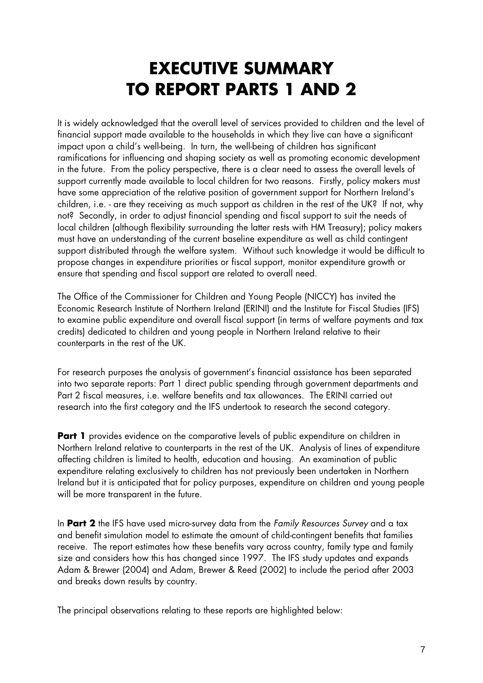# **EXECUTIVE SUMMARY TO REPORT PARTS 1 AND 2**

It is widely acknowledged that the overall level of services provided to children and the level of financial support made available to the households in which they live can have a significant impact upon a child's well-being. In turn, the well-being of children has significant ramifications for influencing and shaping society as well as promoting economic development in the future. From the policy perspective, there is a clear need to assess the overall levels of support currently made available to local children for two reasons. Firstly, policy makers must have some appreciation of the relative position of government support for Northern Ireland's children, i.e. - are they receiving as much support as children in the rest of the UK? If not, why not? Secondly, in order to adjust financial spending and fiscal support to suit the needs of local children (although flexibility surrounding the latter rests with HM Treasury); policy makers must have an understanding of the current baseline expenditure as well as child contingent support distributed through the welfare system. Without such knowledge it would be difficult to propose changes in expenditure priorities or fiscal support, monitor expenditure growth or ensure that spending and fiscal support are related to overall need.

The Office of the Commissioner for Children and Young People (NICCY) has invited the Economic Research Institute of Northern Ireland (ERINI) and the Institute for Fiscal Studies (IFS) to examine public expenditure and overall fiscal support (in terms of welfare payments and tax credits) dedicated to children and young people in Northern Ireland relative to their counterparts in the rest of the UK.

For research purposes the analysis of government's financial assistance has been separated into two separate reports: Part 1 direct public spending through government departments and Part 2 fiscal measures, i.e. welfare benefits and tax allowances. The ERINI carried out research into the first category and the IFS undertook to research the second category.

**Part 1** provides evidence on the comparative levels of public expenditure on children in Northern Ireland relative to counterparts in the rest of the UK. Analysis of lines of expenditure affecting children is limited to health, education and housing. An examination of public expenditure relating exclusively to children has not previously been undertaken in Northern Ireland but it is anticipated that for policy purposes, expenditure on children and young people will be more transparent in the future.

In **Part 2** the IFS have used micro-survey data from the *Family Resources Survey* and a tax and benefit simulation model to estimate the amount of child-contingent benefits that families receive. The report estimates how these benefits vary across country, family type and family size and considers how this has changed since 1997. The IFS study updates and expands Adam & Brewer (2004) and Adam, Brewer & Reed (2002) to include the period after 2003 and breaks down results by country.

The principal observations relating to these reports are highlighted below: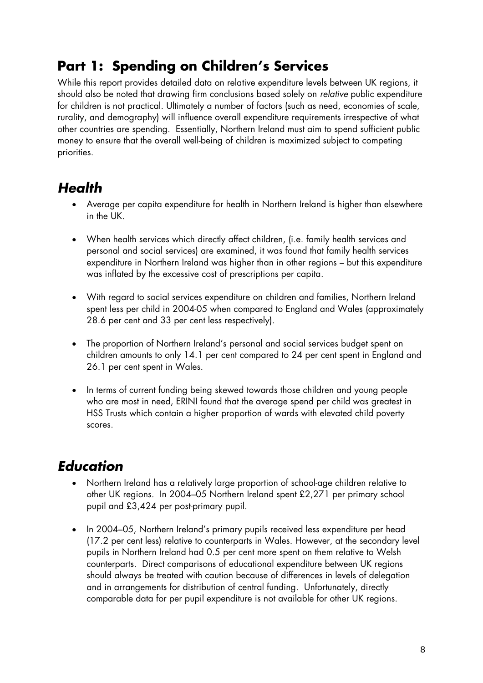# **Part 1: Spending on Children's Services**

While this report provides detailed data on relative expenditure levels between UK regions, it should also be noted that drawing firm conclusions based solely on *relative* public expenditure for children is not practical. Ultimately a number of factors (such as need, economies of scale, rurality, and demography) will influence overall expenditure requirements irrespective of what other countries are spending. Essentially, Northern Ireland must aim to spend sufficient public money to ensure that the overall well-being of children is maximized subject to competing priorities.

# *Health*

- Average per capita expenditure for health in Northern Ireland is higher than elsewhere in the UK.
- When health services which directly affect children, (i.e. family health services and personal and social services) are examined, it was found that family health services expenditure in Northern Ireland was higher than in other regions – but this expenditure was inflated by the excessive cost of prescriptions per capita.
- With regard to social services expenditure on children and families, Northern Ireland spent less per child in 2004-05 when compared to England and Wales (approximately 28.6 per cent and 33 per cent less respectively).
- The proportion of Northern Ireland's personal and social services budget spent on children amounts to only 14.1 per cent compared to 24 per cent spent in England and 26.1 per cent spent in Wales.
- In terms of current funding being skewed towards those children and young people who are most in need, ERINI found that the average spend per child was greatest in HSS Trusts which contain a higher proportion of wards with elevated child poverty scores.

# *Education*

- Northern Ireland has a relatively large proportion of school-age children relative to other UK regions. In 2004–05 Northern Ireland spent £2,271 per primary school pupil and £3,424 per post-primary pupil.
- In 2004–05, Northern Ireland's primary pupils received less expenditure per head (17.2 per cent less) relative to counterparts in Wales. However, at the secondary level pupils in Northern Ireland had 0.5 per cent more spent on them relative to Welsh counterparts. Direct comparisons of educational expenditure between UK regions should always be treated with caution because of differences in levels of delegation and in arrangements for distribution of central funding. Unfortunately, directly comparable data for per pupil expenditure is not available for other UK regions.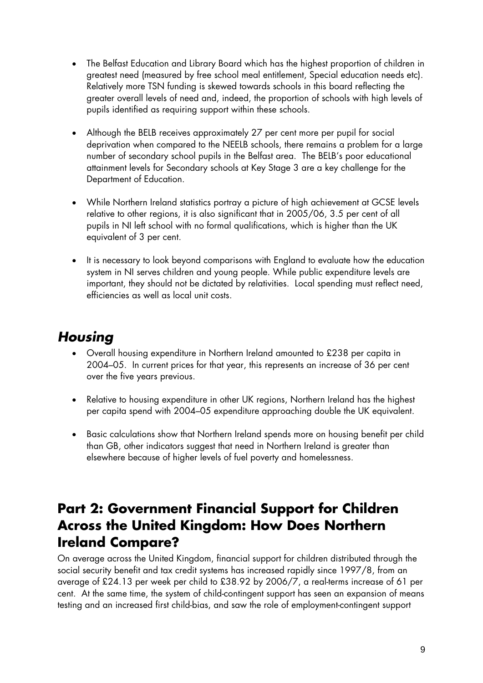- The Belfast Education and Library Board which has the highest proportion of children in greatest need (measured by free school meal entitlement, Special education needs etc). Relatively more TSN funding is skewed towards schools in this board reflecting the greater overall levels of need and, indeed, the proportion of schools with high levels of pupils identified as requiring support within these schools.
- Although the BELB receives approximately 27 per cent more per pupil for social deprivation when compared to the NEELB schools, there remains a problem for a large number of secondary school pupils in the Belfast area. The BELB's poor educational attainment levels for Secondary schools at Key Stage 3 are a key challenge for the Department of Education.
- While Northern Ireland statistics portray a picture of high achievement at GCSE levels relative to other regions, it is also significant that in 2005/06, 3.5 per cent of all pupils in NI left school with no formal qualifications, which is higher than the UK equivalent of 3 per cent.
- It is necessary to look beyond comparisons with England to evaluate how the education system in NI serves children and young people. While public expenditure levels are important, they should not be dictated by relativities. Local spending must reflect need, efficiencies as well as local unit costs.

# *Housing*

- Overall housing expenditure in Northern Ireland amounted to £238 per capita in 2004–05. In current prices for that year, this represents an increase of 36 per cent over the five years previous.
- Relative to housing expenditure in other UK regions, Northern Ireland has the highest per capita spend with 2004–05 expenditure approaching double the UK equivalent.
- Basic calculations show that Northern Ireland spends more on housing benefit per child than GB, other indicators suggest that need in Northern Ireland is greater than elsewhere because of higher levels of fuel poverty and homelessness.

# **Part 2: Government Financial Support for Children Across the United Kingdom: How Does Northern Ireland Compare?**

On average across the United Kingdom, financial support for children distributed through the social security benefit and tax credit systems has increased rapidly since 1997/8, from an average of £24.13 per week per child to £38.92 by 2006/7, a real-terms increase of 61 per cent. At the same time, the system of child-contingent support has seen an expansion of means testing and an increased first child-bias, and saw the role of employment-contingent support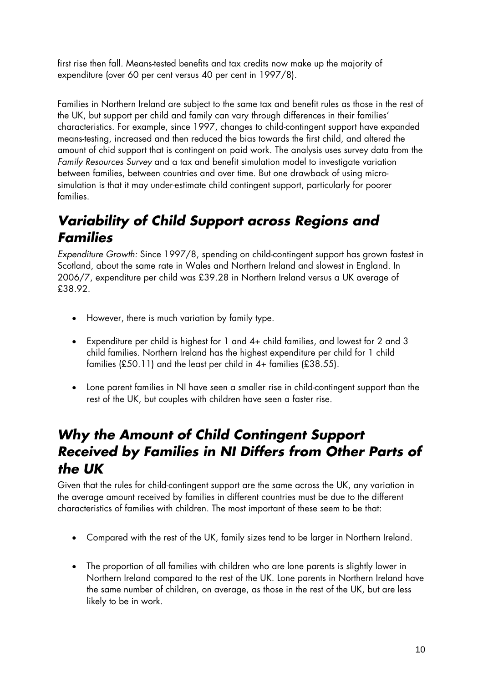first rise then fall*.* Means-tested benefits and tax credits now make up the majority of expenditure (over 60 per cent versus 40 per cent in 1997/8)*.*

Families in Northern Ireland are subject to the same tax and benefit rules as those in the rest of the UK, but support per child and family can vary through differences in their families' characteristics. For example, since 1997, changes to child-contingent support have expanded means-testing, increased and then reduced the bias towards the first child, and altered the amount of chid support that is contingent on paid work. The analysis uses survey data from the *Family Resources Survey* and a tax and benefit simulation model to investigate variation between families, between countries and over time. But one drawback of using microsimulation is that it may under-estimate child contingent support, particularly for poorer families.

# *Variability of Child Support across Regions and Families*

*Expenditure Growth:* Since 1997/8, spending on child-contingent support has grown fastest in Scotland, about the same rate in Wales and Northern Ireland and slowest in England. In 2006/7, expenditure per child was £39.28 in Northern Ireland versus a UK average of £38.92.

- However, there is much variation by family type.
- Expenditure per child is highest for 1 and 4+ child families, and lowest for 2 and 3 child families. Northern Ireland has the highest expenditure per child for 1 child families (£50.11) and the least per child in 4+ families (£38.55).
- Lone parent families in NI have seen a smaller rise in child-contingent support than the rest of the UK, but couples with children have seen a faster rise.

# *Why the Amount of Child Contingent Support Received by Families in NI Differs from Other Parts of the UK*

Given that the rules for child-contingent support are the same across the UK, any variation in the average amount received by families in different countries must be due to the different characteristics of families with children. The most important of these seem to be that:

- Compared with the rest of the UK, family sizes tend to be larger in Northern Ireland.
- The proportion of all families with children who are lone parents is slightly lower in Northern Ireland compared to the rest of the UK. Lone parents in Northern Ireland have the same number of children, on average, as those in the rest of the UK, but are less likely to be in work.